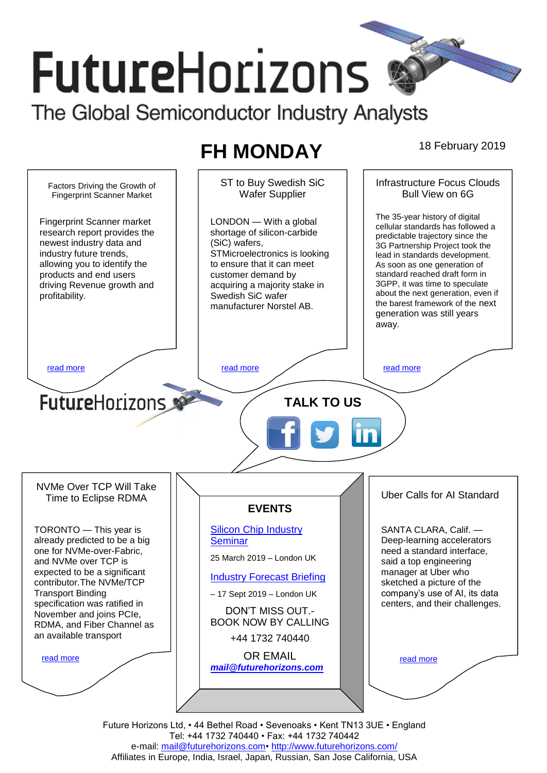# **FutureHorizons** The Global Semiconductor Industry Analysts

# **FH MONDAY** 18 February 2019

ST to Buy Swedish SiC Infrastructure Focus Clouds Factors Driving the Growth of Wafer Supplier Bull View on 6G Fingerprint Scanner Market The 35-year history of digital Fingerprint Scanner market LONDON — With a global cellular standards has followed a research report provides the shortage of silicon-carbide predictable trajectory since the newest industry data and (SiC) wafers, 3G Partnership Project took the industry future trends, STMicroelectronics is looking lead in standards development. allowing you to identify the to ensure that it can meet As soon as one generation of standard reached draft form in products and end users customer demand by 3GPP, it was time to speculate driving Revenue growth and acquiring a majority stake in about the next generation, even if profitability. Swedish SiC wafer the barest framework of the next manufacturer Norstel AB. generation was still years away. [read more](#page-1-1) that the second contract the second contract of the read more that the read more that the read more **Future**Horizons **TALK TO US** NVMe Over TCP Will Take Uber Calls for AI Standard Time to Eclipse RDMA **EVENTS** [Silicon Chip Industry](http://www.futurehorizons.com/page/12/silicon-chip-training)  TORONTO — This year is SANTA CLARA, Calif. already predicted to be a big **[Seminar](http://www.futurehorizons.com/page/12/silicon-chip-training)** Deep-learning accelerators one for NVMe-over-Fabric, need a standard interface, 25 March 2019 – London UK and NVMe over TCP is said a top engineering expected to be a significant manager at Uber who [Industry Forecast Briefing](http://www.futurehorizons.com/page/13/Semiconductor-Market-Forecast-Seminar) contributor.The NVMe/TCP sketched a picture of the Transport Binding company's use of AI, its data – 17 Sept 2019 – London UK specification was ratified in centers, and their challenges. DON'T MISS OUT.- November and joins PCIe, BOOK NOW BY CALLING RDMA, and Fiber Channel as an available transport+44 1732 740440 OR EMAIL [read more](#page-1-3) [read more](#page-1-4) *[mail@futurehorizons.com](mailto:mail@futurehorizons.com)*

Future Horizons Ltd, • 44 Bethel Road • Sevenoaks • Kent TN13 3UE • England Tel: +44 1732 740440 • Fax: +44 1732 740442 e-mail: mail@futurehorizons.com• http://www.futurehorizons.com/ Affiliates in Europe, India, Israel, Japan, Russian, San Jose California, USA